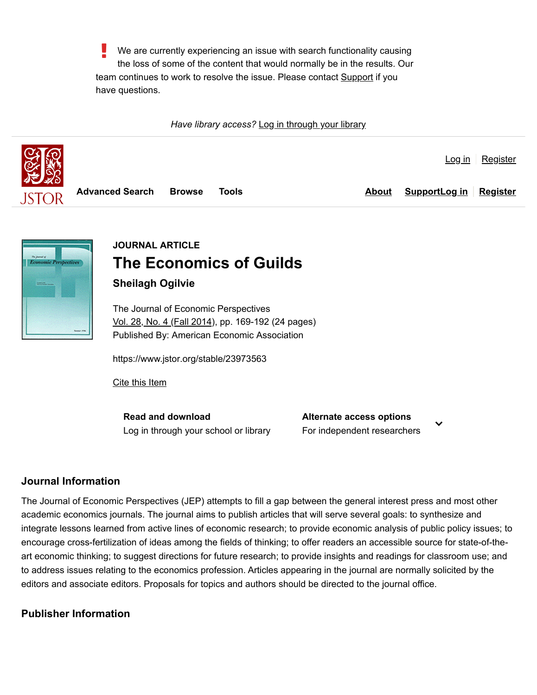We are currently experiencing an issue with search functionality causing the loss of some of the content that would normally be in the results. Our team continues to work to resolve the issue. Please contact **Support** if you have questions.

*Have library access?* [Log in through your library](https://www.jstor.org/institutionSearch?redirectUri=%2Fstable%2F23973563%3Fseq%3D1)





# **JOURNAL ARTICLE The Economics of Guilds Sheilagh Ogilvie**

The Journal of Economic Perspectives [Vol. 28, No. 4 \(Fall 2014\),](https://www.jstor.org/stable/i23973554) pp. 169-192 (24 pages) Published By: American Economic Association

https://www.jstor.org/stable/23973563

[Cite this Item](https://www.jstor.org/citation/info/10.2307/23973563)

**Read and download** [Log in through your school or library](https://www.jstor.org/institutionSearch?redirectUri=%2fstable%2f23973563) **Alternate access options**

For independent researchers

## **Journal Information**

The Journal of Economic Perspectives (JEP) attempts to fill a gap between the general interest press and most other academic economics journals. The journal aims to publish articles that will serve several goals: to synthesize and integrate lessons learned from active lines of economic research; to provide economic analysis of public policy issues; to encourage cross-fertilization of ideas among the fields of thinking; to offer readers an accessible source for state-of-theart economic thinking; to suggest directions for future research; to provide insights and readings for classroom use; and to address issues relating to the economics profession. Articles appearing in the journal are normally solicited by the editors and associate editors. Proposals for topics and authors should be directed to the journal office.

## **Publisher Information**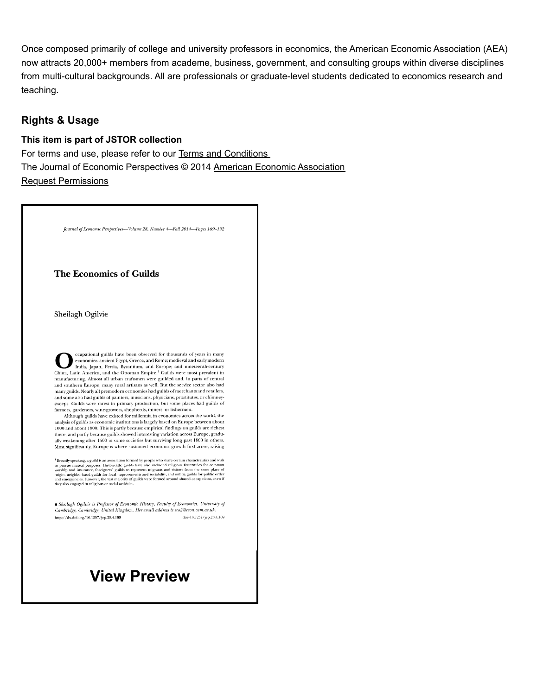Once composed primarily of college and university professors in economics, the American Economic Association (AEA) now attracts 20,000+ members from academe, business, government, and consulting groups within diverse disciplines from multi-cultural backgrounds. All are professionals or graduate-level students dedicated to economics research and teaching.

## **Rights & Usage**

#### **This item is part of JSTOR collection**

For terms and use, please refer to our [Terms and Conditions](https://about.jstor.org/terms/#whats-in-jstor)  The Journal of Economic Perspectives © 2014 [American Economic Association](https://www.jstor.org/publisher/aea) [Request Permissions](https://www.copyright.com/openurl.do?sid=pd_ITHAKA&servicename=all&WT.mc_id=tpd_ITHAKA19334192&issn=08953309&date=2014)

Journal of Economic Perspectives-Volume 28, Number 4-Fall 2014-Pages 169-192

#### **The Economics of Guilds**

Sheilagh Ogilvie

ccupational guilds have been observed for thousands of years in many economies: ancient Egypt, Greece, and Rome; medieval and early modern India, Japan, Persia, Byzantium, and Europe; and nineteenth-century China, Latin America, and the Ottoman Empire.<sup>1</sup> Guilds were most prevalent in manufacturing. Almost all urban craftsmen were guilded and, in parts of central and southern Europe, many rural artisans as well. But the service sector also had many guilds. Nearly all premodern economies had guilds of merchants and retailers, and some also had guilds of painters, musicians, physicians, prostitutes, or chimneysweeps. Guilds were rarest in primary production, but some places had guilds of farmers, gardeners, wine-growers, shepherds, miners, or fishermen.<br>Although guilds have existed for millennia in economies across the world, the

analysis of guilds as economic institutions is largely based on Europe between about  $1000$  and about  $1800.$  This is partly because empirical findings on guilds are richest there, and partly because guilds showed interesting variation across Europe, gradually weakening after 1500 in some societies but surviving long past 1800 in others. Most significantly, Europe is where sustained economic growth first arose, raising

 $^1$  Broadly speaking, a guild is an association formed by people who share certain characteristics and wish to pursue mutual purposes. Historically, guilds have also included religious fraternities for common worship and

■ Sheilagh Ogilvie is Professor of Economic History, Faculty of Economics, University of Cambridge, Cambridge, United Kingdom. Her email address is sco2@econ.cam.ac.uk. doi=10.1257/jep.28.4.169 http://dx.doi.org/10.1257/jep.28.4.169

# **View Preview**